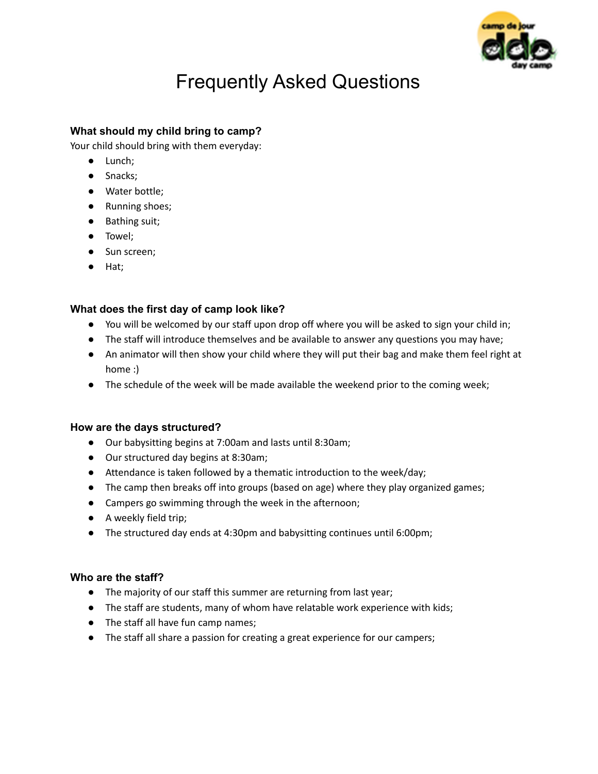

# Frequently Asked Questions

# **What should my child bring to camp?**

Your child should bring with them everyday:

- Lunch;
- Snacks;
- Water bottle;
- Running shoes;
- Bathing suit;
- Towel;
- Sun screen;
- Hat;

## **What does the first day of camp look like?**

- You will be welcomed by our staff upon drop off where you will be asked to sign your child in;
- The staff will introduce themselves and be available to answer any questions you may have;
- An animator will then show your child where they will put their bag and make them feel right at home :)
- The schedule of the week will be made available the weekend prior to the coming week;

## **How are the days structured?**

- Our babysitting begins at 7:00am and lasts until 8:30am;
- Our structured day begins at 8:30am;
- Attendance is taken followed by a thematic introduction to the week/day;
- The camp then breaks off into groups (based on age) where they play organized games;
- Campers go swimming through the week in the afternoon;
- A weekly field trip;
- The structured day ends at 4:30pm and babysitting continues until 6:00pm;

## **Who are the staff?**

- The majority of our staff this summer are returning from last year;
- The staff are students, many of whom have relatable work experience with kids;
- The staff all have fun camp names;
- The staff all share a passion for creating a great experience for our campers;